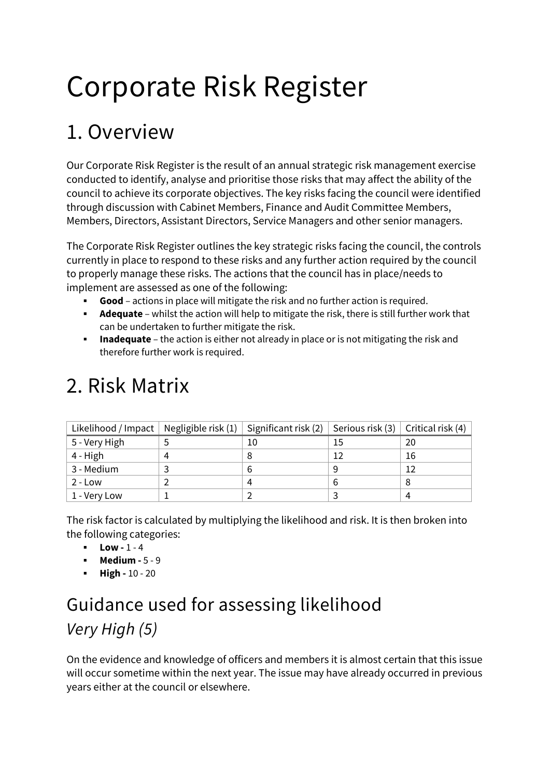# Corporate Risk Register

### 1. Overview

Our Corporate Risk Register is the result of an annual strategic risk management exercise conducted to identify, analyse and prioritise those risks that may affect the ability of the council to achieve its corporate objectives. The key risks facing the council were identified through discussion with Cabinet Members, Finance and Audit Committee Members, Members, Directors, Assistant Directors, Service Managers and other senior managers.

The Corporate Risk Register outlines the key strategic risks facing the council, the controls currently in place to respond to these risks and any further action required by the council to properly manage these risks. The actions that the council has in place/needs to implement are assessed as one of the following:

- **Good** actions in place will mitigate the risk and no further action is required.
- **Adequate** whilst the action will help to mitigate the risk, there is still further work that can be undertaken to further mitigate the risk.
- **Inadequate** the action is either not already in place or is not mitigating the risk and therefore further work is required.

| Likelihood / Impact   Negligible risk (1)   Significant risk (2)   Serious risk (3)   Critical risk (4) |   |    |    |    |
|---------------------------------------------------------------------------------------------------------|---|----|----|----|
| 5 - Very High                                                                                           |   | 10 | 15 | 20 |
| 4 - High                                                                                                | 4 |    | 12 | 16 |
| 3 - Medium                                                                                              |   |    |    |    |
| 2 - Low                                                                                                 |   |    |    |    |
| 1 - Very Low                                                                                            |   |    |    | 4  |

### 2. Risk Matrix

The risk factor is calculated by multiplying the likelihood and risk. It is then broken into the following categories:

- **Low -** 1 4
- **Medium 5 9**
- $\blacksquare$  **High** 10 20

### Guidance used for assessing likelihood *Very High (5)*

On the evidence and knowledge of officers and members it is almost certain that this issue will occur sometime within the next year. The issue may have already occurred in previous years either at the council or elsewhere.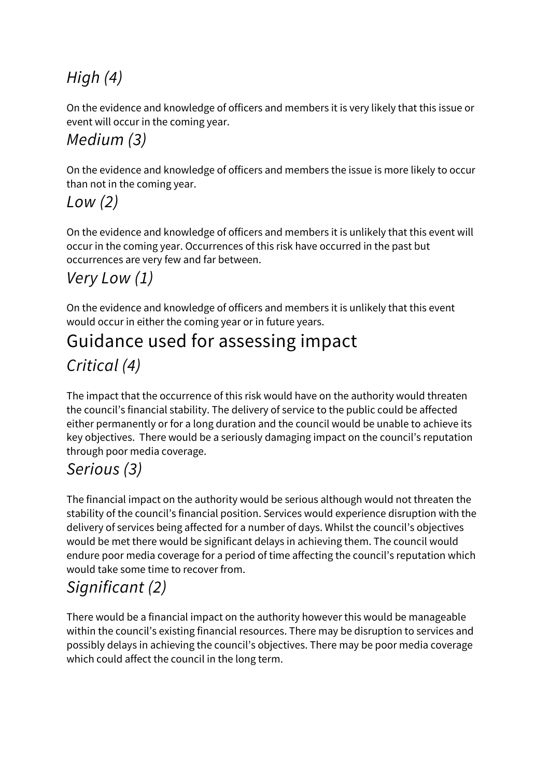### *High (4)*

On the evidence and knowledge of officers and members it is very likely that this issue or event will occur in the coming year.

#### *Medium (3)*

On the evidence and knowledge of officers and members the issue is more likely to occur than not in the coming year.

#### *Low (2)*

On the evidence and knowledge of officers and members it is unlikely that this event will occur in the coming year. Occurrences of this risk have occurred in the past but occurrences are very few and far between.

#### *Very Low (1)*

On the evidence and knowledge of officers and members it is unlikely that this event would occur in either the coming year or in future years.

### Guidance used for assessing impact *Critical (4)*

The impact that the occurrence of this risk would have on the authority would threaten the council's financial stability. The delivery of service to the public could be affected either permanently or for a long duration and the council would be unable to achieve its key objectives. There would be a seriously damaging impact on the council's reputation through poor media coverage.

### *Serious (3)*

The financial impact on the authority would be serious although would not threaten the stability of the council's financial position. Services would experience disruption with the delivery of services being affected for a number of days. Whilst the council's objectives would be met there would be significant delays in achieving them. The council would endure poor media coverage for a period of time affecting the council's reputation which would take some time to recover from.

### *Significant (2)*

There would be a financial impact on the authority however this would be manageable within the council's existing financial resources. There may be disruption to services and possibly delays in achieving the council's objectives. There may be poor media coverage which could affect the council in the long term.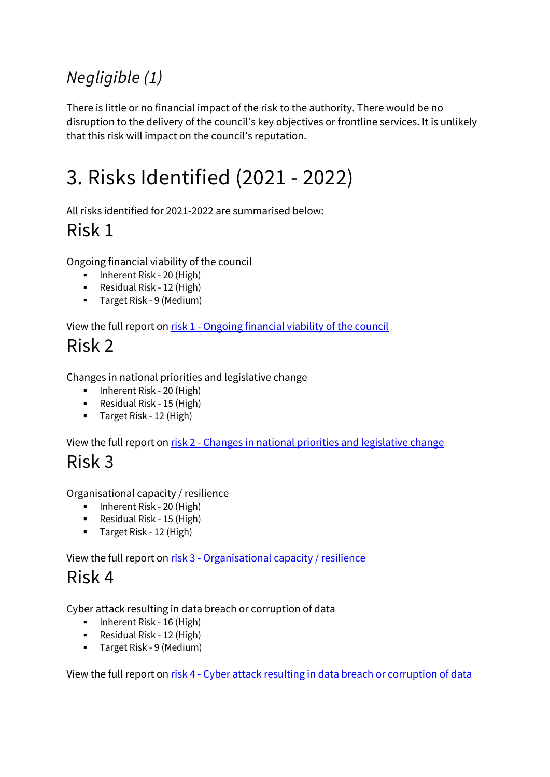### *Negligible (1)*

There is little or no financial impact of the risk to the authority. There would be no disruption to the delivery of the council's key objectives or frontline services. It is unlikely that this risk will impact on the council's reputation.

## 3. Risks Identified (2021 - 2022)

All risks identified for 2021-2022 are summarised below:

### Risk 1

Ongoing financial viability of the council

- **Inherent Risk 20 (High)**
- Residual Risk 12 (High)
- Target Risk 9 (Medium)

View the full report on risk 1 - [Ongoing financial viability of the council](#page-4-0)

### Risk 2

Changes in national priorities and legislative change

- **Inherent Risk 20 (High)**
- Residual Risk 15 (High)
- **Target Risk 12 (High)**

View the full report on risk 2 - [Changes in national priorities and legislative change](#page-7-0)

### Risk 3

Organisational capacity / resilience

- **Inherent Risk 20 (High)**
- Residual Risk 15 (High)
- **Target Risk 12 (High)**

View the full report on risk 3 - [Organisational capacity / resilience](#page-11-0)

### Risk 4

Cyber attack resulting in data breach or corruption of data

- **Inherent Risk 16 (High)**
- Residual Risk 12 (High)
- Target Risk 9 (Medium)

View the full report on risk 4 - [Cyber attack resulting in data breach or corruption of data](#page-15-0)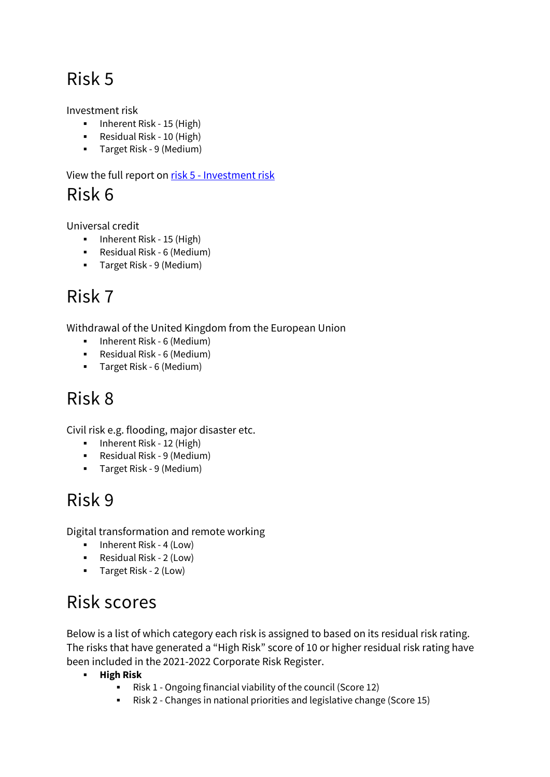### Risk 5

Investment risk

- **Inherent Risk 15 (High)**
- Residual Risk 10 (High)
- Target Risk 9 (Medium)

View the full report on risk 5 - [Investment risk](#page-19-0)

Risk 6

Universal credit

- **Inherent Risk 15 (High)**
- Residual Risk 6 (Medium)
- Target Risk 9 (Medium)

### Risk 7

Withdrawal of the United Kingdom from the European Union

- **-** Inherent Risk 6 (Medium)
- Residual Risk 6 (Medium)
- Target Risk 6 (Medium)

### Risk 8

Civil risk e.g. flooding, major disaster etc.

- **Inherent Risk 12 (High)**
- Residual Risk 9 (Medium)
- Target Risk 9 (Medium)

### Risk 9

Digital transformation and remote working

- **Inherent Risk 4 (Low)**
- Residual Risk 2 (Low)
- Target Risk 2 (Low)

### Risk scores

Below is a list of which category each risk is assigned to based on its residual risk rating. The risks that have generated a "High Risk" score of 10 or higher residual risk rating have been included in the 2021-2022 Corporate Risk Register.

- **High Risk** 
	- Risk 1 Ongoing financial viability of the council (Score 12)
	- Risk 2 Changes in national priorities and legislative change (Score 15)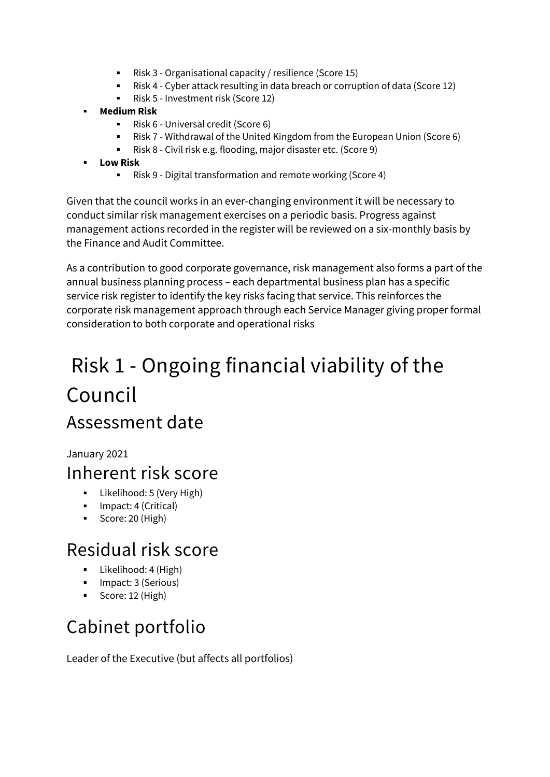- Risk 3 Organisational capacity / resilience (Score 15)
- Risk 4 Cyber attack resulting in data breach or corruption of data (Score 12)
- Risk 5 Investment risk (Score 12)
- **Medium Risk**
	- Risk 6 Universal credit (Score 6)
	- Risk 7 Withdrawal of the United Kingdom from the European Union (Score 6)
	- Risk 8 Civil risk e.g. flooding, major disaster etc. (Score 9)
- **Low Risk**
	- Risk 9 Digital transformation and remote working (Score 4)

Given that the council works in an ever-changing environment it will be necessary to conduct similar risk management exercises on a periodic basis. Progress against management actions recorded in the register will be reviewed on a six-monthly basis by the Finance and Audit Committee.

As a contribution to good corporate governance, risk management also forms a part of the annual business planning process – each departmental business plan has a specific service risk register to identify the key risks facing that service. This reinforces the corporate risk management approach through each Service Manager giving proper formal consideration to both corporate and operational risks

## <span id="page-4-0"></span>Risk 1 - Ongoing financial viability of the Council

### Assessment date

January 2021

### Inherent risk score

- **Likelihood: 5 (Very High)**
- **Impact: 4 (Critical)**
- Score: 20 (High)

### Residual risk score

- **Likelihood: 4 (High)**
- **Impact: 3 (Serious)**
- Score: 12 (High)

### Cabinet portfolio

Leader of the Executive (but affects all portfolios)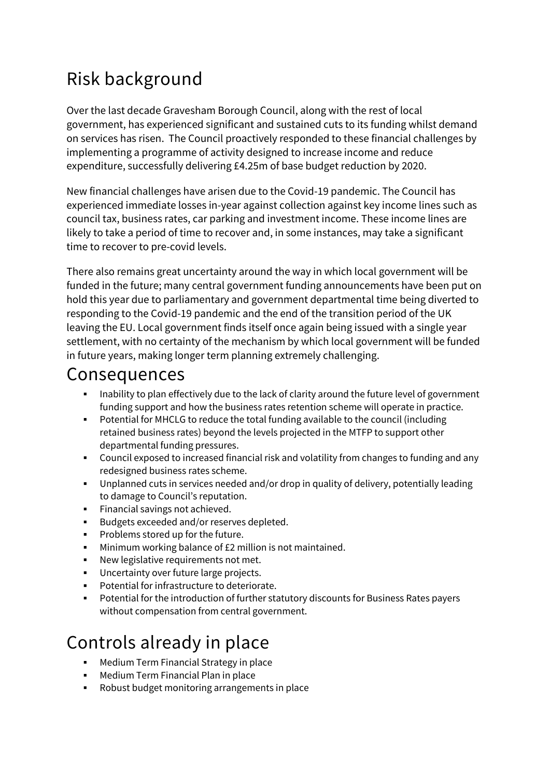### Risk background

Over the last decade Gravesham Borough Council, along with the rest of local government, has experienced significant and sustained cuts to its funding whilst demand on services has risen. The Council proactively responded to these financial challenges by implementing a programme of activity designed to increase income and reduce expenditure, successfully delivering £4.25m of base budget reduction by 2020.

New financial challenges have arisen due to the Covid-19 pandemic. The Council has experienced immediate losses in-year against collection against key income lines such as council tax, business rates, car parking and investment income. These income lines are likely to take a period of time to recover and, in some instances, may take a significant time to recover to pre-covid levels.

There also remains great uncertainty around the way in which local government will be funded in the future; many central government funding announcements have been put on hold this year due to parliamentary and government departmental time being diverted to responding to the Covid-19 pandemic and the end of the transition period of the UK leaving the EU. Local government finds itself once again being issued with a single year settlement, with no certainty of the mechanism by which local government will be funded in future years, making longer term planning extremely challenging.

#### Consequences

- Inability to plan effectively due to the lack of clarity around the future level of government funding support and how the business rates retention scheme will operate in practice.
- Potential for MHCLG to reduce the total funding available to the council (including retained business rates) beyond the levels projected in the MTFP to support other departmental funding pressures.
- Council exposed to increased financial risk and volatility from changes to funding and any redesigned business rates scheme.
- Unplanned cuts in services needed and/or drop in quality of delivery, potentially leading to damage to Council's reputation.
- **Financial savings not achieved.**
- **Budgets exceeded and/or reserves depleted.**
- **Problems stored up for the future.**
- **Minimum working balance of £2 million is not maintained.**
- New legislative requirements not met.
- Uncertainty over future large projects.
- Potential for infrastructure to deteriorate.
- Potential for the introduction of further statutory discounts for Business Rates payers without compensation from central government.

### Controls already in place

- Medium Term Financial Strategy in place
- **Medium Term Financial Plan in place**
- Robust budget monitoring arrangements in place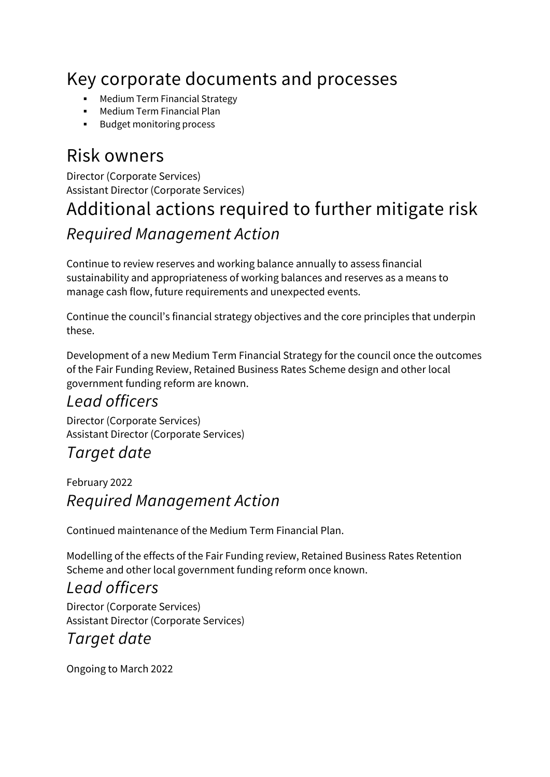### Key corporate documents and processes

- Medium Term Financial Strategy
- Medium Term Financial Plan
- **Budget monitoring process**

### Risk owners

Director (Corporate Services) Assistant Director (Corporate Services)

### Additional actions required to further mitigate risk *Required Management Action*

Continue to review reserves and working balance annually to assess financial sustainability and appropriateness of working balances and reserves as a means to manage cash flow, future requirements and unexpected events.

Continue the council's financial strategy objectives and the core principles that underpin these.

Development of a new Medium Term Financial Strategy for the council once the outcomes of the Fair Funding Review, Retained Business Rates Scheme design and other local government funding reform are known.

#### *Lead officers*

Director (Corporate Services) Assistant Director (Corporate Services)

#### *Target date*

February 2022 *Required Management Action*

Continued maintenance of the Medium Term Financial Plan.

Modelling of the effects of the Fair Funding review, Retained Business Rates Retention Scheme and other local government funding reform once known.

#### *Lead officers*

Director (Corporate Services) Assistant Director (Corporate Services)

#### *Target date*

Ongoing to March 2022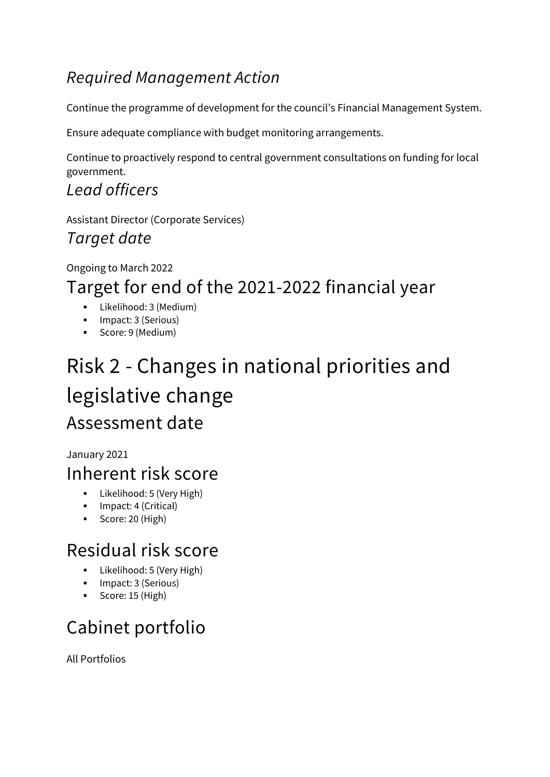#### *Required Management Action*

Continue the programme of development for the council's Financial Management System.

Ensure adequate compliance with budget monitoring arrangements.

Continue to proactively respond to central government consultations on funding for local government.

*Lead officers*

Assistant Director (Corporate Services) *Target date*

#### Ongoing to March 2022 Target for end of the 2021-2022 financial year

- Likelihood: 3 (Medium)
- **Impact: 3 (Serious)**
- Score: 9 (Medium)

### <span id="page-7-0"></span>Risk 2 - Changes in national priorities and legislative change Assessment date

January 2021

### Inherent risk score

- **Likelihood: 5 (Very High)**
- **Impact: 4 (Critical)**
- Score: 20 (High)

### Residual risk score

- **Likelihood: 5 (Very High)**
- **Impact: 3 (Serious)**
- Score: 15 (High)

### Cabinet portfolio

All Portfolios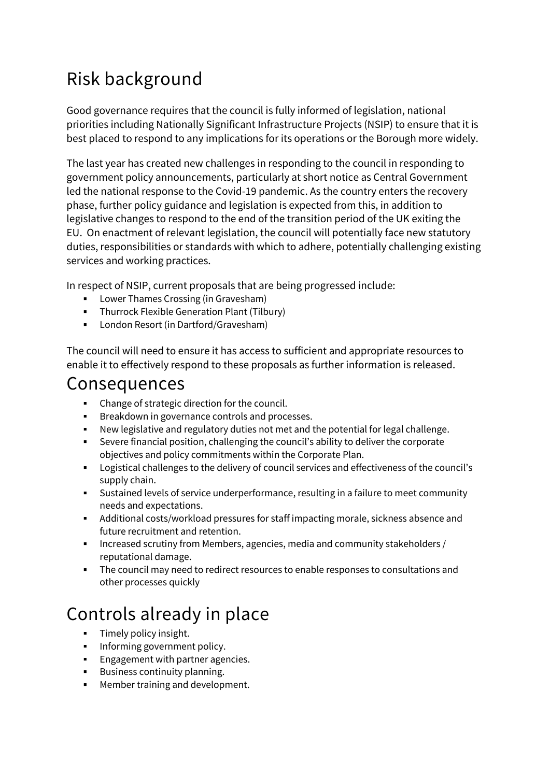### Risk background

Good governance requires that the council is fully informed of legislation, national priorities including Nationally Significant Infrastructure Projects (NSIP) to ensure that it is best placed to respond to any implications for its operations or the Borough more widely.

The last year has created new challenges in responding to the council in responding to government policy announcements, particularly at short notice as Central Government led the national response to the Covid-19 pandemic. As the country enters the recovery phase, further policy guidance and legislation is expected from this, in addition to legislative changes to respond to the end of the transition period of the UK exiting the EU. On enactment of relevant legislation, the council will potentially face new statutory duties, responsibilities or standards with which to adhere, potentially challenging existing services and working practices.

In respect of NSIP, current proposals that are being progressed include:

- Lower Thames Crossing (in Gravesham)
- **Fig. 2** Thurrock Flexible Generation Plant (Tilbury)
- **London Resort (in Dartford/Gravesham)**

The council will need to ensure it has access to sufficient and appropriate resources to enable it to effectively respond to these proposals as further information is released.

#### Consequences

- Change of strategic direction for the council.
- **Breakdown in governance controls and processes.**
- New legislative and regulatory duties not met and the potential for legal challenge.
- Severe financial position, challenging the council's ability to deliver the corporate objectives and policy commitments within the Corporate Plan.
- Logistical challenges to the delivery of council services and effectiveness of the council's supply chain.
- Sustained levels of service underperformance, resulting in a failure to meet community needs and expectations.
- Additional costs/workload pressures for staff impacting morale, sickness absence and future recruitment and retention.
- Increased scrutiny from Members, agencies, media and community stakeholders  $/$ reputational damage.
- The council may need to redirect resources to enable responses to consultations and other processes quickly

### Controls already in place

- Timely policy insight.
- **Informing government policy.**
- **Engagement with partner agencies.**
- **Business continuity planning.**
- Member training and development.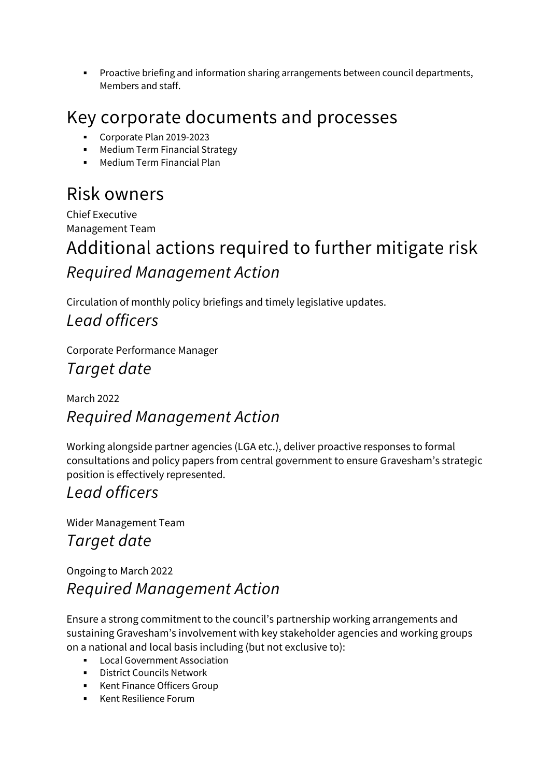Proactive briefing and information sharing arrangements between council departments, Members and staff.

### Key corporate documents and processes

- Corporate Plan 2019-2023
- Medium Term Financial Strategy
- Medium Term Financial Plan

### Risk owners

Chief Executive Management Team

### Additional actions required to further mitigate risk *Required Management Action*

Circulation of monthly policy briefings and timely legislative updates. *Lead officers*

Corporate Performance Manager *Target date*

#### March 2022 *Required Management Action*

Working alongside partner agencies (LGA etc.), deliver proactive responses to formal consultations and policy papers from central government to ensure Gravesham's strategic position is effectively represented.

#### *Lead officers*

Wider Management Team

#### *Target date*

Ongoing to March 2022 *Required Management Action*

Ensure a strong commitment to the council's partnership working arrangements and sustaining Gravesham's involvement with key stakeholder agencies and working groups on a national and local basis including (but not exclusive to):

- **Local Government Association**
- **-** District Councils Network
- **Kent Finance Officers Group**
- **Kent Resilience Forum**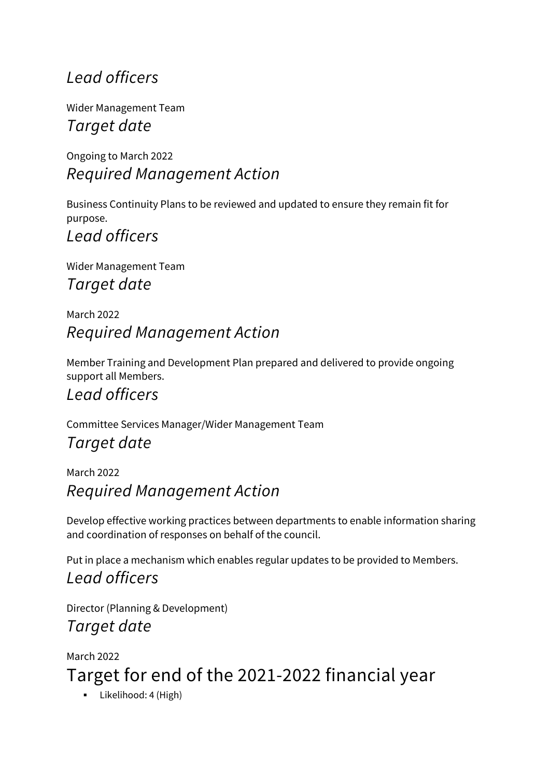#### *Lead officers*

Wider Management Team *Target date*

Ongoing to March 2022 *Required Management Action*

Business Continuity Plans to be reviewed and updated to ensure they remain fit for purpose.

*Lead officers*

Wider Management Team *Target date*

March 2022 *Required Management Action*

Member Training and Development Plan prepared and delivered to provide ongoing support all Members.

#### *Lead officers*

Committee Services Manager/Wider Management Team

#### *Target date*

March 2022 *Required Management Action*

Develop effective working practices between departments to enable information sharing and coordination of responses on behalf of the council.

Put in place a mechanism which enables regular updates to be provided to Members. *Lead officers*

Director (Planning & Development) *Target date*

March 2022 Target for end of the 2021-2022 financial year

**Likelihood: 4 (High)**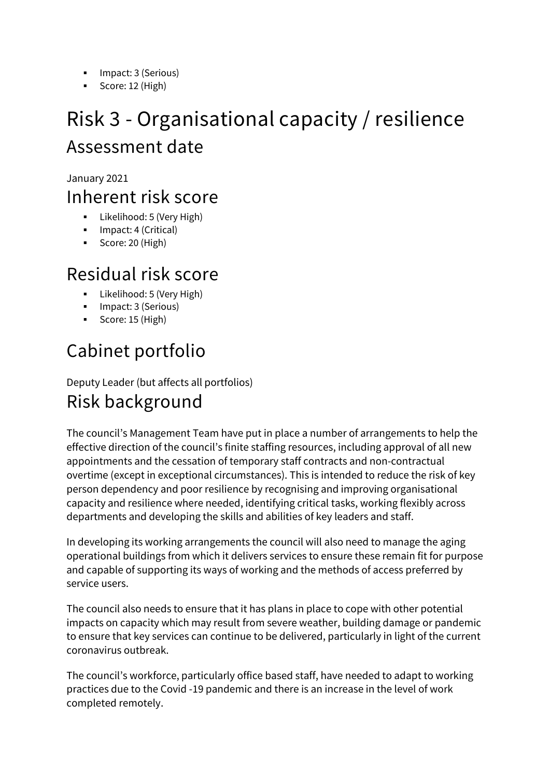- **Impact: 3 (Serious)**
- Score: 12 (High)

### <span id="page-11-0"></span>Risk 3 - Organisational capacity / resilience Assessment date

January 2021

#### Inherent risk score

- **Likelihood: 5 (Very High)**
- **Impact: 4 (Critical)**
- Score: 20 (High)

### Residual risk score

- Likelihood: 5 (Very High)
- **Impact: 3 (Serious)**
- Score: 15 (High)

### Cabinet portfolio

Deputy Leader (but affects all portfolios)

### Risk background

The council's Management Team have put in place a number of arrangements to help the effective direction of the council's finite staffing resources, including approval of all new appointments and the cessation of temporary staff contracts and non-contractual overtime (except in exceptional circumstances). This is intended to reduce the risk of key person dependency and poor resilience by recognising and improving organisational capacity and resilience where needed, identifying critical tasks, working flexibly across departments and developing the skills and abilities of key leaders and staff.

In developing its working arrangements the council will also need to manage the aging operational buildings from which it delivers services to ensure these remain fit for purpose and capable of supporting its ways of working and the methods of access preferred by service users.

The council also needs to ensure that it has plans in place to cope with other potential impacts on capacity which may result from severe weather, building damage or pandemic to ensure that key services can continue to be delivered, particularly in light of the current coronavirus outbreak.

The council's workforce, particularly office based staff, have needed to adapt to working practices due to the Covid -19 pandemic and there is an increase in the level of work completed remotely.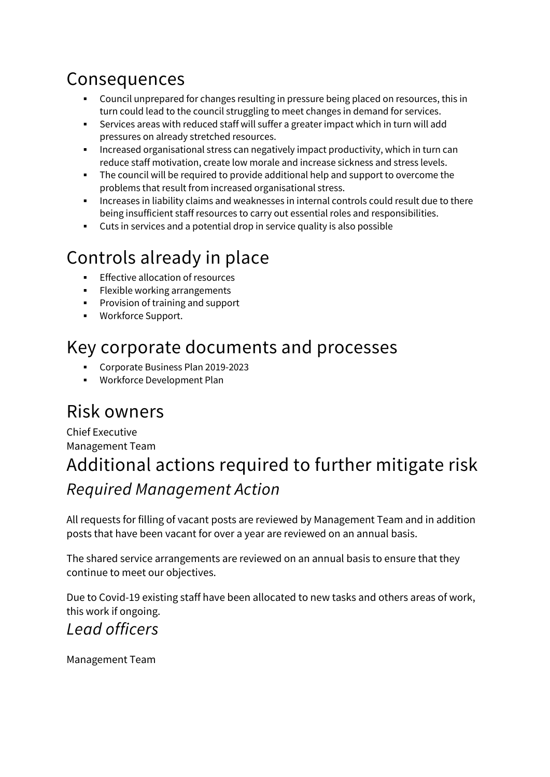### Consequences

- Council unprepared for changes resulting in pressure being placed on resources, this in turn could lead to the council struggling to meet changes in demand for services.
- Services areas with reduced staff will suffer a greater impact which in turn will add pressures on already stretched resources.
- Increased organisational stress can negatively impact productivity, which in turn can reduce staff motivation, create low morale and increase sickness and stress levels.
- The council will be required to provide additional help and support to overcome the problems that result from increased organisational stress.
- Increases in liability claims and weaknesses in internal controls could result due to there being insufficient staff resources to carry out essential roles and responsibilities.
- Cuts in services and a potential drop in service quality is also possible

### Controls already in place

- Effective allocation of resources
- **Flexible working arrangements**
- **Provision of training and support**
- Workforce Support.

### Key corporate documents and processes

- Corporate Business Plan 2019-2023
- Workforce Development Plan

### Risk owners

#### Chief Executive Management Team Additional actions required to further mitigate risk *Required Management Action*

All requests for filling of vacant posts are reviewed by Management Team and in addition posts that have been vacant for over a year are reviewed on an annual basis.

The shared service arrangements are reviewed on an annual basis to ensure that they continue to meet our objectives.

Due to Covid-19 existing staff have been allocated to new tasks and others areas of work, this work if ongoing.

#### *Lead officers*

Management Team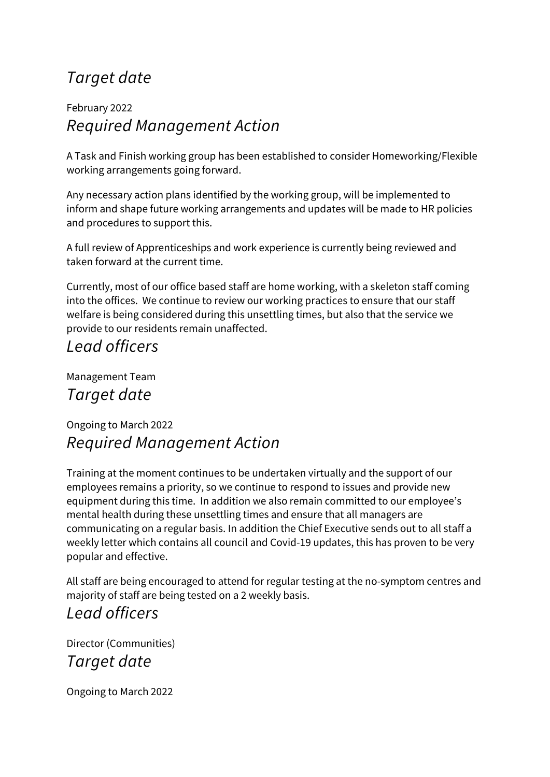#### *Target date*

#### February 2022 *Required Management Action*

A Task and Finish working group has been established to consider Homeworking/Flexible working arrangements going forward.

Any necessary action plans identified by the working group, will be implemented to inform and shape future working arrangements and updates will be made to HR policies and procedures to support this.

A full review of Apprenticeships and work experience is currently being reviewed and taken forward at the current time.

Currently, most of our office based staff are home working, with a skeleton staff coming into the offices. We continue to review our working practices to ensure that our staff welfare is being considered during this unsettling times, but also that the service we provide to our residents remain unaffected.

#### *Lead officers*

Management Team *Target date*

#### Ongoing to March 2022 *Required Management Action*

Training at the moment continues to be undertaken virtually and the support of our employees remains a priority, so we continue to respond to issues and provide new equipment during this time. In addition we also remain committed to our employee's mental health during these unsettling times and ensure that all managers are communicating on a regular basis. In addition the Chief Executive sends out to all staff a weekly letter which contains all council and Covid-19 updates, this has proven to be very popular and effective.

All staff are being encouraged to attend for regular testing at the no-symptom centres and majority of staff are being tested on a 2 weekly basis.

#### *Lead officers*

Director (Communities) *Target date*

Ongoing to March 2022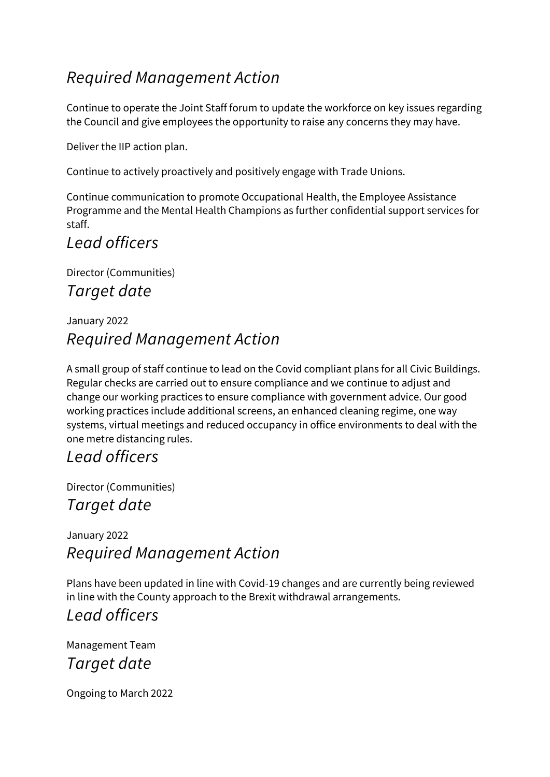#### *Required Management Action*

Continue to operate the Joint Staff forum to update the workforce on key issues regarding the Council and give employees the opportunity to raise any concerns they may have.

Deliver the IIP action plan.

Continue to actively proactively and positively engage with Trade Unions.

Continue communication to promote Occupational Health, the Employee Assistance Programme and the Mental Health Champions as further confidential support services for staff.

#### *Lead officers*

Director (Communities) *Target date*

#### January 2022 *Required Management Action*

A small group of staff continue to lead on the Covid compliant plans for all Civic Buildings. Regular checks are carried out to ensure compliance and we continue to adjust and change our working practices to ensure compliance with government advice. Our good working practices include additional screens, an enhanced cleaning regime, one way systems, virtual meetings and reduced occupancy in office environments to deal with the one metre distancing rules.

#### *Lead officers*

Director (Communities)

*Target date*

January 2022 *Required Management Action*

Plans have been updated in line with Covid-19 changes and are currently being reviewed in line with the County approach to the Brexit withdrawal arrangements.

#### *Lead officers*

Management Team *Target date*

Ongoing to March 2022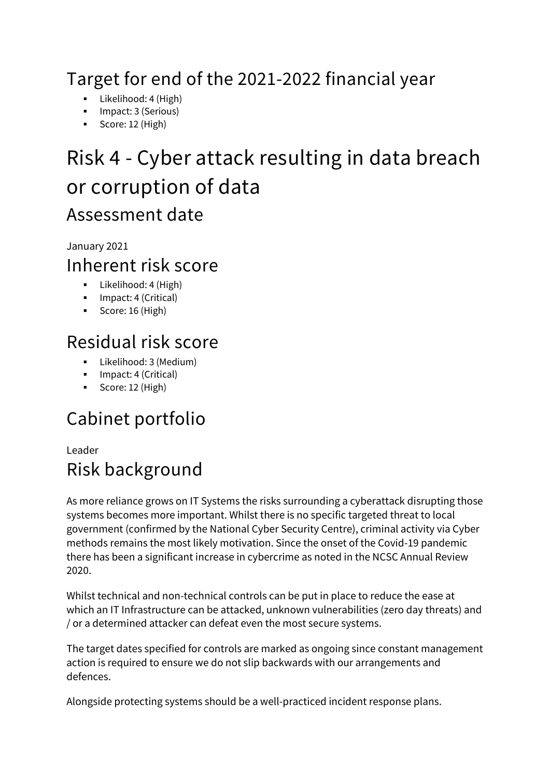### Target for end of the 2021-2022 financial year

- **Likelihood: 4 (High)**
- **Impact: 3 (Serious)**
- Score: 12 (High)

### <span id="page-15-0"></span>Risk 4 - Cyber attack resulting in data breach or corruption of data Assessment date

January 2021

#### Inherent risk score

- **Likelihood: 4 (High)**
- **Impact: 4 (Critical)**
- Score: 16 (High)

### Residual risk score

- Likelihood: 3 (Medium)
- **Impact: 4 (Critical)**
- Score: 12 (High)

### Cabinet portfolio

#### Leader Risk background

As more reliance grows on IT Systems the risks surrounding a cyberattack disrupting those systems becomes more important. Whilst there is no specific targeted threat to local government (confirmed by the National Cyber Security Centre), criminal activity via Cyber methods remains the most likely motivation. Since the onset of the Covid-19 pandemic there has been a significant increase in cybercrime as noted in the NCSC Annual Review 2020.

Whilst technical and non-technical controls can be put in place to reduce the ease at which an IT Infrastructure can be attacked, unknown vulnerabilities (zero day threats) and / or a determined attacker can defeat even the most secure systems.

The target dates specified for controls are marked as ongoing since constant management action is required to ensure we do not slip backwards with our arrangements and defences.

Alongside protecting systems should be a well-practiced incident response plans.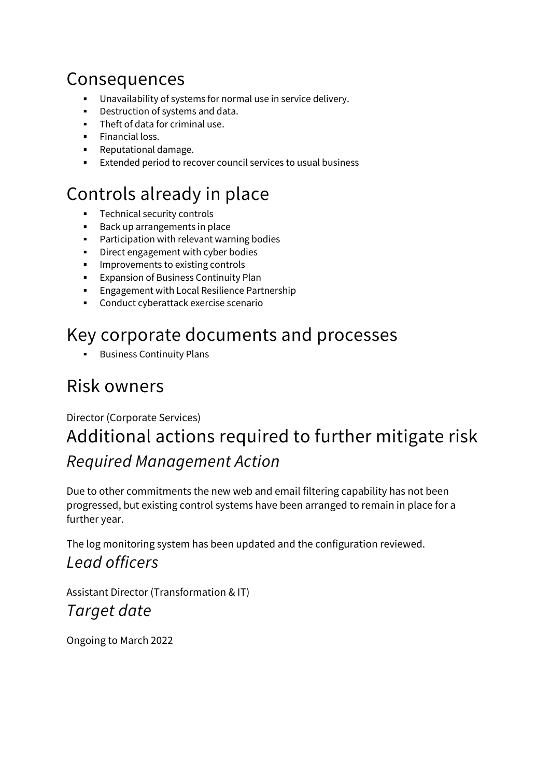### Consequences

- Unavailability of systems for normal use in service delivery.
- Destruction of systems and data.
- **Theft of data for criminal use.**
- **Financial loss.**
- **Reputational damage.**
- Extended period to recover council services to usual business

### Controls already in place

- **Technical security controls**
- Back up arrangements in place
- **Participation with relevant warning bodies**
- **•** Direct engagement with cyber bodies
- **IMPROVEMENTS TO EXISTING CONTROLS**
- **Expansion of Business Continuity Plan**
- Engagement with Local Resilience Partnership
- Conduct cyberattack exercise scenario

### Key corporate documents and processes

Business Continuity Plans

### Risk owners

#### Director (Corporate Services) Additional actions required to further mitigate risk *Required Management Action*

Due to other commitments the new web and email filtering capability has not been progressed, but existing control systems have been arranged to remain in place for a further year.

The log monitoring system has been updated and the configuration reviewed. *Lead officers*

Assistant Director (Transformation & IT) *Target date*

Ongoing to March 2022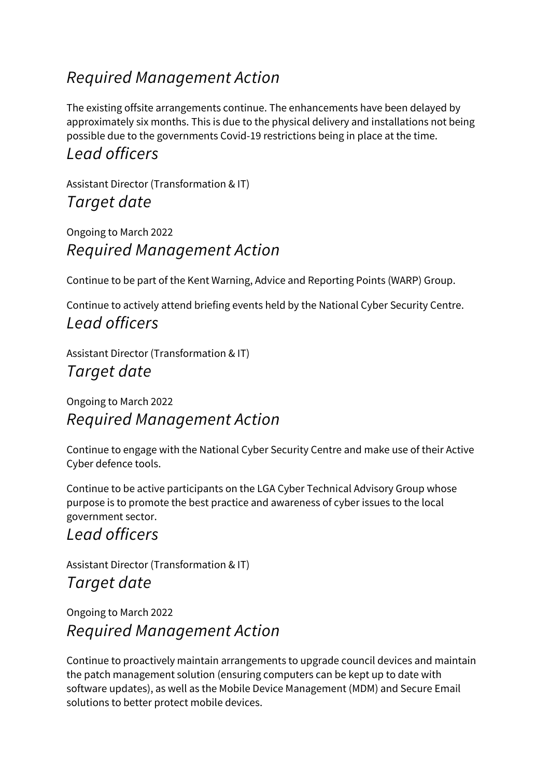#### *Required Management Action*

The existing offsite arrangements continue. The enhancements have been delayed by approximately six months. This is due to the physical delivery and installations not being possible due to the governments Covid-19 restrictions being in place at the time.

#### *Lead officers*

Assistant Director (Transformation & IT) *Target date*

Ongoing to March 2022 *Required Management Action*

Continue to be part of the Kent Warning, Advice and Reporting Points (WARP) Group.

Continue to actively attend briefing events held by the National Cyber Security Centre. *Lead officers*

Assistant Director (Transformation & IT) *Target date*

Ongoing to March 2022 *Required Management Action*

Continue to engage with the National Cyber Security Centre and make use of their Active Cyber defence tools.

Continue to be active participants on the LGA Cyber Technical Advisory Group whose purpose is to promote the best practice and awareness of cyber issues to the local government sector.

#### *Lead officers*

Assistant Director (Transformation & IT) *Target date*

Ongoing to March 2022 *Required Management Action*

Continue to proactively maintain arrangements to upgrade council devices and maintain the patch management solution (ensuring computers can be kept up to date with software updates), as well as the Mobile Device Management (MDM) and Secure Email solutions to better protect mobile devices.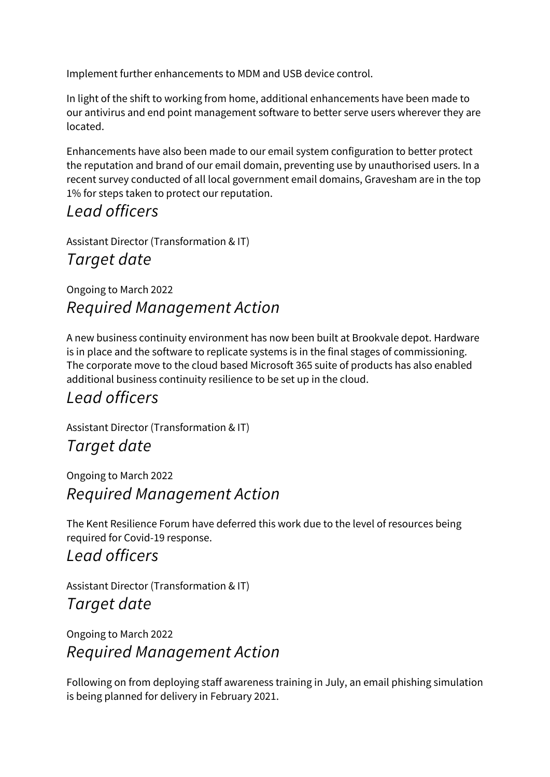Implement further enhancements to MDM and USB device control.

In light of the shift to working from home, additional enhancements have been made to our antivirus and end point management software to better serve users wherever they are located.

Enhancements have also been made to our email system configuration to better protect the reputation and brand of our email domain, preventing use by unauthorised users. In a recent survey conducted of all local government email domains, Gravesham are in the top 1% for steps taken to protect our reputation.

#### *Lead officers*

Assistant Director (Transformation & IT)

#### *Target date*

#### Ongoing to March 2022 *Required Management Action*

A new business continuity environment has now been built at Brookvale depot. Hardware is in place and the software to replicate systems is in the final stages of commissioning. The corporate move to the cloud based Microsoft 365 suite of products has also enabled additional business continuity resilience to be set up in the cloud.

#### *Lead officers*

Assistant Director (Transformation & IT)

#### *Target date*

Ongoing to March 2022 *Required Management Action*

The Kent Resilience Forum have deferred this work due to the level of resources being required for Covid-19 response.

#### *Lead officers*

Assistant Director (Transformation & IT) *Target date*

Ongoing to March 2022 *Required Management Action*

Following on from deploying staff awareness training in July, an email phishing simulation is being planned for delivery in February 2021.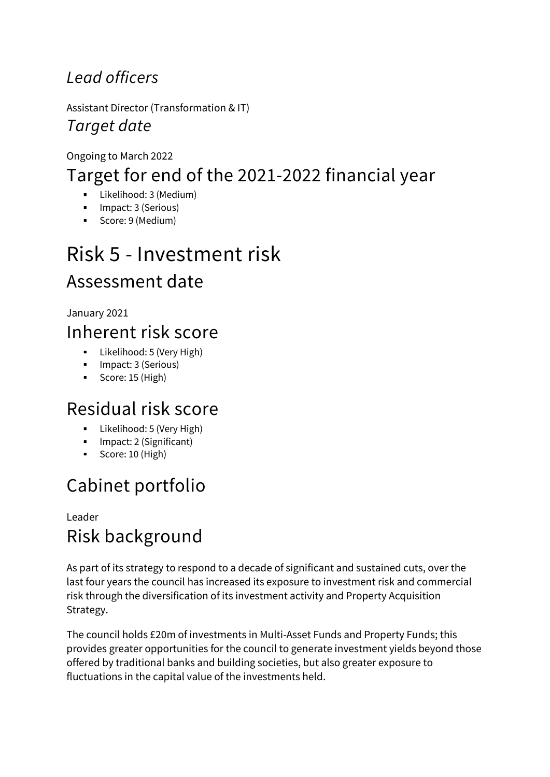#### *Lead officers*

Assistant Director (Transformation & IT) *Target date*

#### Ongoing to March 2022 Target for end of the 2021-2022 financial year

- Likelihood: 3 (Medium)
- **Impact: 3 (Serious)**
- Score: 9 (Medium)

### <span id="page-19-0"></span>Risk 5 - Investment risk Assessment date

January 2021

### Inherent risk score

- **Likelihood: 5 (Very High)**
- **Impact: 3 (Serious)** Score: 15 (High)

### Residual risk score

- **Likelihood: 5 (Very High)**
- **Impact: 2 (Significant)**
- Score: 10 (High)

### Cabinet portfolio

#### Leader Risk background

As part of its strategy to respond to a decade of significant and sustained cuts, over the last four years the council has increased its exposure to investment risk and commercial risk through the diversification of its investment activity and Property Acquisition Strategy.

The council holds £20m of investments in Multi-Asset Funds and Property Funds; this provides greater opportunities for the council to generate investment yields beyond those offered by traditional banks and building societies, but also greater exposure to fluctuations in the capital value of the investments held.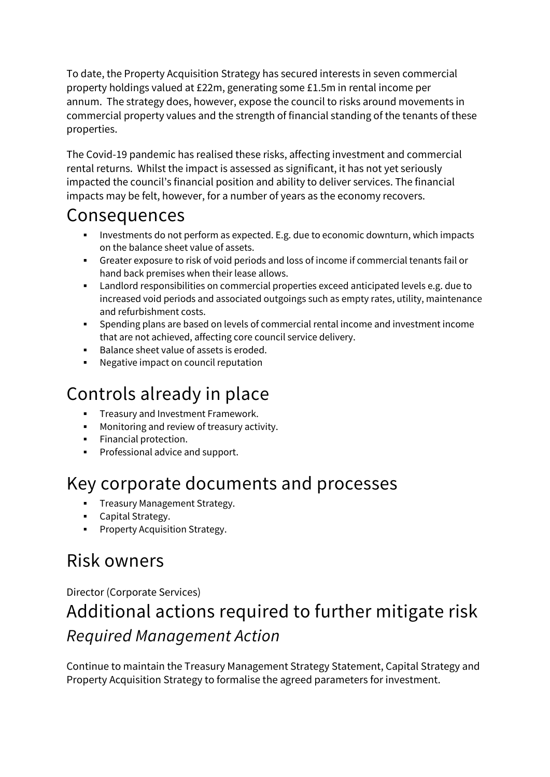To date, the Property Acquisition Strategy has secured interests in seven commercial property holdings valued at £22m, generating some £1.5m in rental income per annum. The strategy does, however, expose the council to risks around movements in commercial property values and the strength of financial standing of the tenants of these properties.

The Covid-19 pandemic has realised these risks, affecting investment and commercial rental returns. Whilst the impact is assessed as significant, it has not yet seriously impacted the council's financial position and ability to deliver services. The financial impacts may be felt, however, for a number of years as the economy recovers.

#### Consequences

- Investments do not perform as expected. E.g. due to economic downturn, which impacts on the balance sheet value of assets.
- Greater exposure to risk of void periods and loss of income if commercial tenants fail or hand back premises when their lease allows.
- Landlord responsibilities on commercial properties exceed anticipated levels e.g. due to increased void periods and associated outgoings such as empty rates, utility, maintenance and refurbishment costs.
- Spending plans are based on levels of commercial rental income and investment income that are not achieved, affecting core council service delivery.
- Balance sheet value of assets is eroded.
- Negative impact on council reputation

### Controls already in place

- **Figure 3** Treasury and Investment Framework.
- **Monitoring and review of treasury activity.**
- **Financial protection.**
- **Professional advice and support.**

### Key corporate documents and processes

- **Treasury Management Strategy.**
- **Capital Strategy.**
- **•** Property Acquisition Strategy.

### Risk owners

#### Director (Corporate Services) Additional actions required to further mitigate risk *Required Management Action*

Continue to maintain the Treasury Management Strategy Statement, Capital Strategy and Property Acquisition Strategy to formalise the agreed parameters for investment.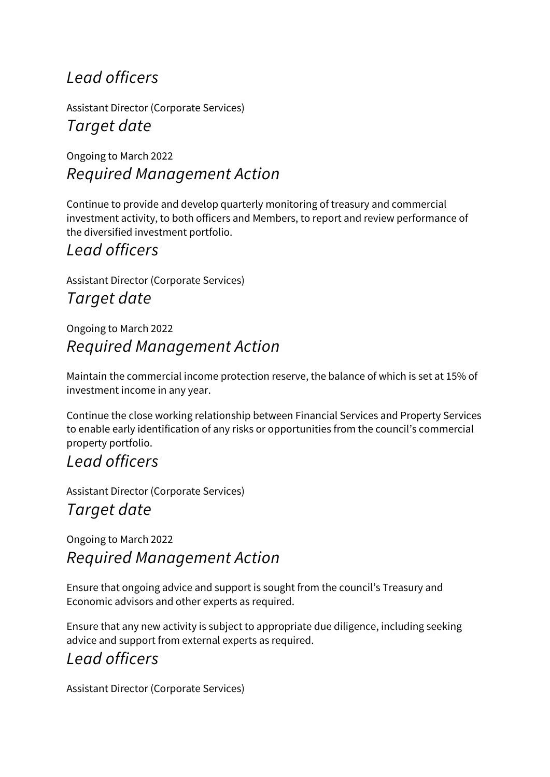#### *Lead officers*

Assistant Director (Corporate Services) *Target date*

Ongoing to March 2022 *Required Management Action*

Continue to provide and develop quarterly monitoring of treasury and commercial investment activity, to both officers and Members, to report and review performance of the diversified investment portfolio.

#### *Lead officers*

Assistant Director (Corporate Services)

*Target date*

Ongoing to March 2022 *Required Management Action*

Maintain the commercial income protection reserve, the balance of which is set at 15% of investment income in any year.

Continue the close working relationship between Financial Services and Property Services to enable early identification of any risks or opportunities from the council's commercial property portfolio.

#### *Lead officers*

Assistant Director (Corporate Services) *Target date*

Ongoing to March 2022 *Required Management Action*

Ensure that ongoing advice and support is sought from the council's Treasury and Economic advisors and other experts as required.

Ensure that any new activity is subject to appropriate due diligence, including seeking advice and support from external experts as required.

#### *Lead officers*

Assistant Director (Corporate Services)